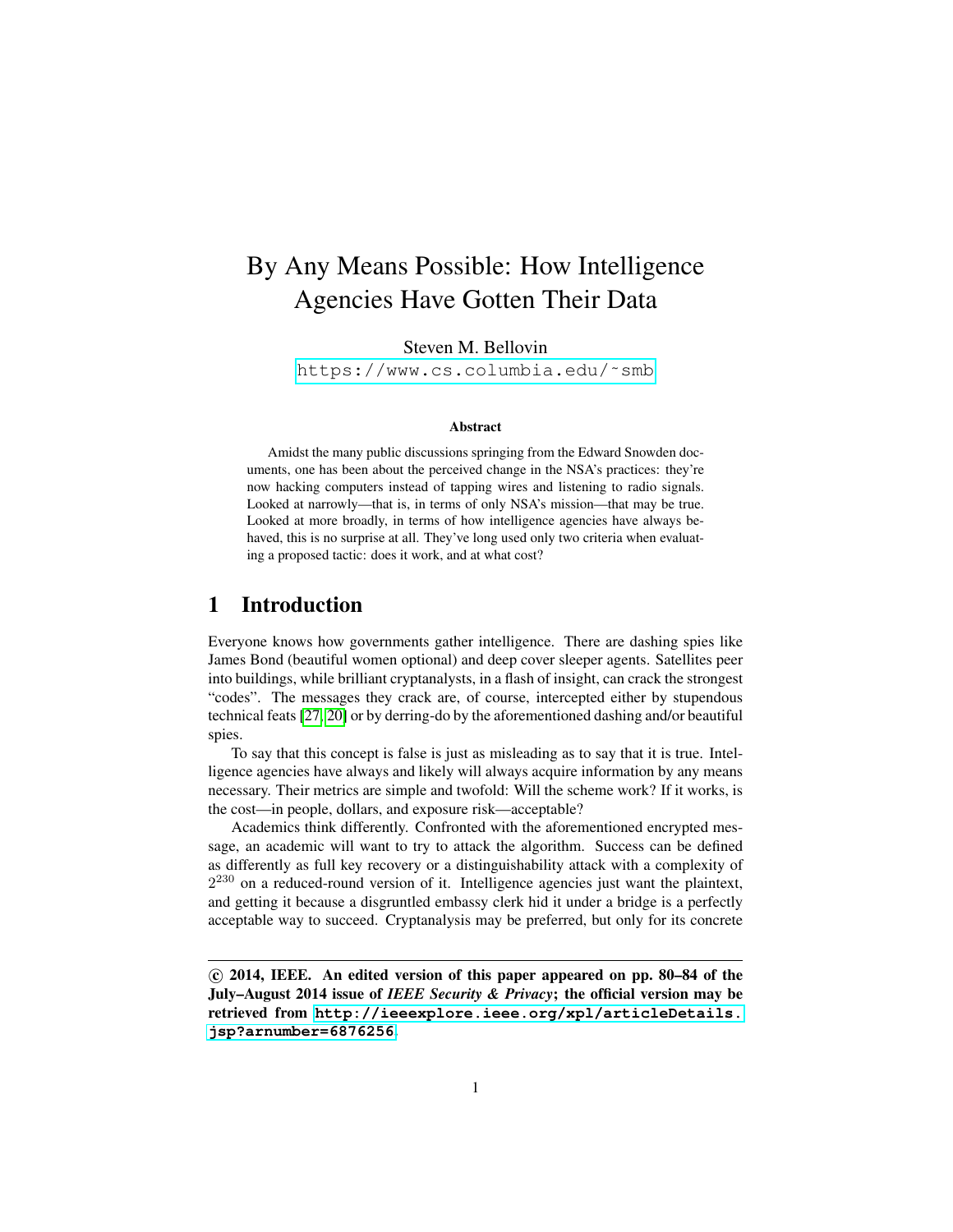# By Any Means Possible: How Intelligence Agencies Have Gotten Their Data

Steven M. Bellovin

[https://www.cs.columbia.edu/˜smb](https://www.cs.columbia.edu/~smb)

#### Abstract

Amidst the many public discussions springing from the Edward Snowden documents, one has been about the perceived change in the NSA's practices: they're now hacking computers instead of tapping wires and listening to radio signals. Looked at narrowly—that is, in terms of only NSA's mission—that may be true. Looked at more broadly, in terms of how intelligence agencies have always behaved, this is no surprise at all. They've long used only two criteria when evaluating a proposed tactic: does it work, and at what cost?

# 1 Introduction

Everyone knows how governments gather intelligence. There are dashing spies like James Bond (beautiful women optional) and deep cover sleeper agents. Satellites peer into buildings, while brilliant cryptanalysts, in a flash of insight, can crack the strongest "codes". The messages they crack are, of course, intercepted either by stupendous technical feats [\[27,](#page-6-0) [20\]](#page-6-1) or by derring-do by the aforementioned dashing and/or beautiful spies.

To say that this concept is false is just as misleading as to say that it is true. Intelligence agencies have always and likely will always acquire information by any means necessary. Their metrics are simple and twofold: Will the scheme work? If it works, is the cost—in people, dollars, and exposure risk—acceptable?

Academics think differently. Confronted with the aforementioned encrypted message, an academic will want to try to attack the algorithm. Success can be defined as differently as full key recovery or a distinguishability attack with a complexity of  $2^{230}$  on a reduced-round version of it. Intelligence agencies just want the plaintext, and getting it because a disgruntled embassy clerk hid it under a bridge is a perfectly acceptable way to succeed. Cryptanalysis may be preferred, but only for its concrete

 $\odot$  2014, IEEE. An edited version of this paper appeared on pp. 80–84 of the July–August 2014 issue of *IEEE Security & Privacy*; the official version may be retrieved from **[http://ieeexplore.ieee.org/xpl/articleDetails.](http://ieeexplore.ieee.org/xpl/articleDetails.jsp?arnumber=6876256) [jsp?arnumber=6876256](http://ieeexplore.ieee.org/xpl/articleDetails.jsp?arnumber=6876256)**.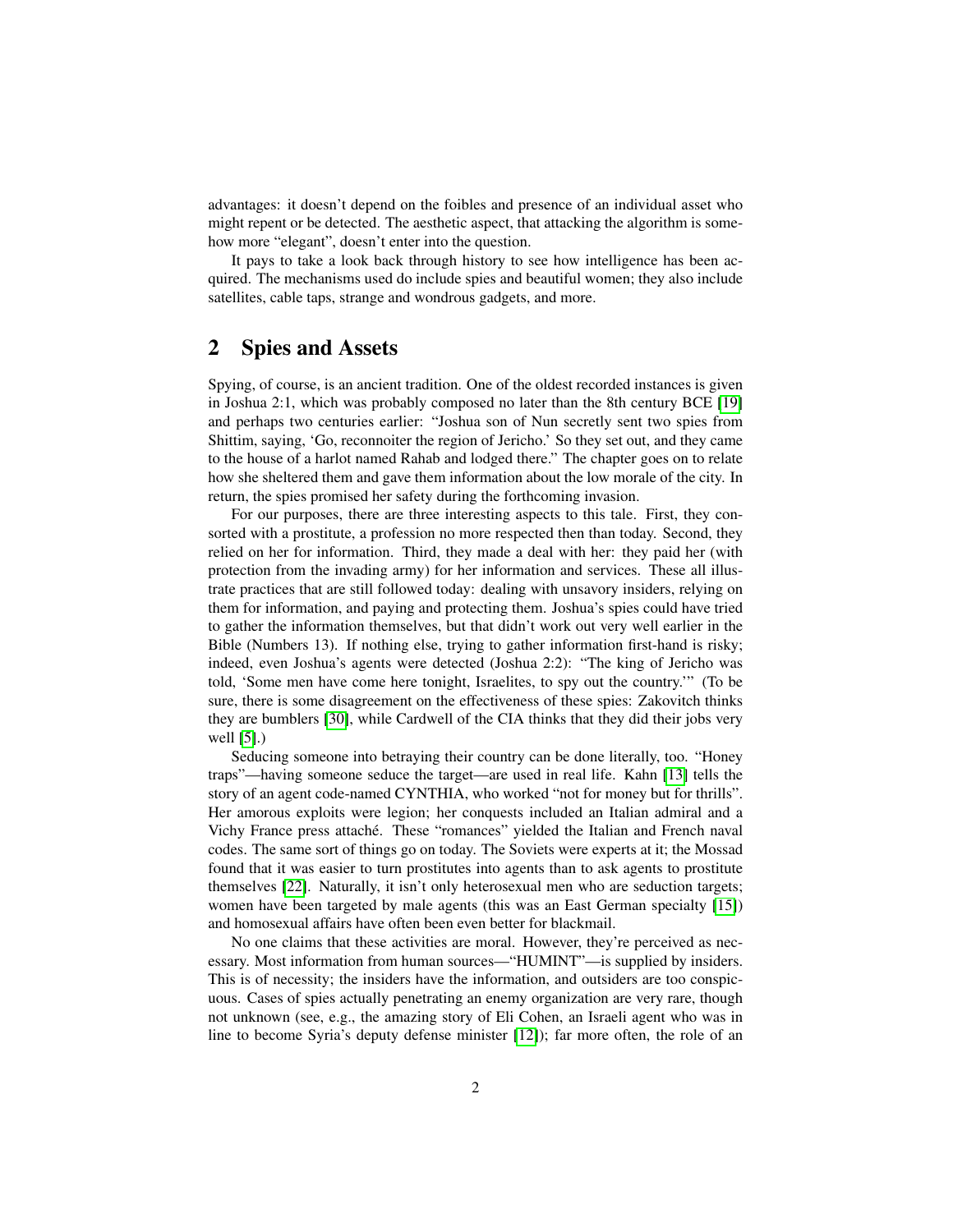advantages: it doesn't depend on the foibles and presence of an individual asset who might repent or be detected. The aesthetic aspect, that attacking the algorithm is somehow more "elegant", doesn't enter into the question.

It pays to take a look back through history to see how intelligence has been acquired. The mechanisms used do include spies and beautiful women; they also include satellites, cable taps, strange and wondrous gadgets, and more.

# 2 Spies and Assets

Spying, of course, is an ancient tradition. One of the oldest recorded instances is given in Joshua 2:1, which was probably composed no later than the 8th century BCE [\[19\]](#page-6-2) and perhaps two centuries earlier: "Joshua son of Nun secretly sent two spies from Shittim, saying, 'Go, reconnoiter the region of Jericho.' So they set out, and they came to the house of a harlot named Rahab and lodged there." The chapter goes on to relate how she sheltered them and gave them information about the low morale of the city. In return, the spies promised her safety during the forthcoming invasion.

For our purposes, there are three interesting aspects to this tale. First, they consorted with a prostitute, a profession no more respected then than today. Second, they relied on her for information. Third, they made a deal with her: they paid her (with protection from the invading army) for her information and services. These all illustrate practices that are still followed today: dealing with unsavory insiders, relying on them for information, and paying and protecting them. Joshua's spies could have tried to gather the information themselves, but that didn't work out very well earlier in the Bible (Numbers 13). If nothing else, trying to gather information first-hand is risky; indeed, even Joshua's agents were detected (Joshua 2:2): "The king of Jericho was told, 'Some men have come here tonight, Israelites, to spy out the country.'" (To be sure, there is some disagreement on the effectiveness of these spies: Zakovitch thinks they are bumblers [\[30\]](#page-7-0), while Cardwell of the CIA thinks that they did their jobs very well [\[5\]](#page-5-0).)

Seducing someone into betraying their country can be done literally, too. "Honey traps"—having someone seduce the target—are used in real life. Kahn [\[13\]](#page-5-1) tells the story of an agent code-named CYNTHIA, who worked "not for money but for thrills". Her amorous exploits were legion; her conquests included an Italian admiral and a Vichy France press attaché. These "romances" yielded the Italian and French naval codes. The same sort of things go on today. The Soviets were experts at it; the Mossad found that it was easier to turn prostitutes into agents than to ask agents to prostitute themselves [\[22\]](#page-6-3). Naturally, it isn't only heterosexual men who are seduction targets; women have been targeted by male agents (this was an East German specialty [\[15\]](#page-6-4)) and homosexual affairs have often been even better for blackmail.

No one claims that these activities are moral. However, they're perceived as necessary. Most information from human sources—"HUMINT"—is supplied by insiders. This is of necessity; the insiders have the information, and outsiders are too conspicuous. Cases of spies actually penetrating an enemy organization are very rare, though not unknown (see, e.g., the amazing story of Eli Cohen, an Israeli agent who was in line to become Syria's deputy defense minister [\[12\]](#page-5-2)); far more often, the role of an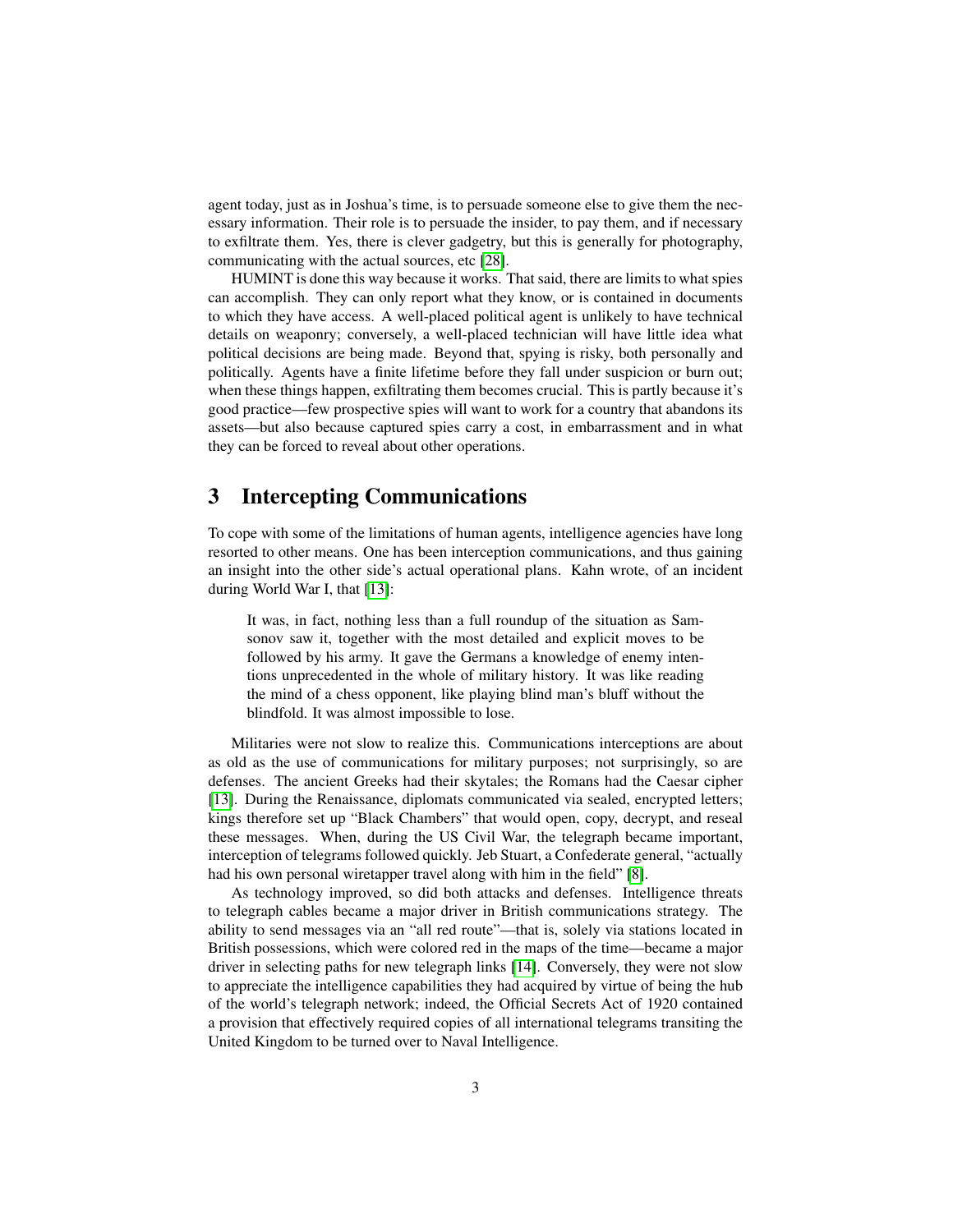agent today, just as in Joshua's time, is to persuade someone else to give them the necessary information. Their role is to persuade the insider, to pay them, and if necessary to exfiltrate them. Yes, there is clever gadgetry, but this is generally for photography, communicating with the actual sources, etc [\[28\]](#page-6-5).

HUMINT is done this way because it works. That said, there are limits to what spies can accomplish. They can only report what they know, or is contained in documents to which they have access. A well-placed political agent is unlikely to have technical details on weaponry; conversely, a well-placed technician will have little idea what political decisions are being made. Beyond that, spying is risky, both personally and politically. Agents have a finite lifetime before they fall under suspicion or burn out; when these things happen, exfiltrating them becomes crucial. This is partly because it's good practice—few prospective spies will want to work for a country that abandons its assets—but also because captured spies carry a cost, in embarrassment and in what they can be forced to reveal about other operations.

# 3 Intercepting Communications

To cope with some of the limitations of human agents, intelligence agencies have long resorted to other means. One has been interception communications, and thus gaining an insight into the other side's actual operational plans. Kahn wrote, of an incident during World War I, that [\[13\]](#page-5-1):

It was, in fact, nothing less than a full roundup of the situation as Samsonov saw it, together with the most detailed and explicit moves to be followed by his army. It gave the Germans a knowledge of enemy intentions unprecedented in the whole of military history. It was like reading the mind of a chess opponent, like playing blind man's bluff without the blindfold. It was almost impossible to lose.

Militaries were not slow to realize this. Communications interceptions are about as old as the use of communications for military purposes; not surprisingly, so are defenses. The ancient Greeks had their skytales; the Romans had the Caesar cipher [\[13\]](#page-5-1). During the Renaissance, diplomats communicated via sealed, encrypted letters; kings therefore set up "Black Chambers" that would open, copy, decrypt, and reseal these messages. When, during the US Civil War, the telegraph became important, interception of telegrams followed quickly. Jeb Stuart, a Confederate general, "actually had his own personal wiretapper travel along with him in the field" [\[8\]](#page-5-3).

As technology improved, so did both attacks and defenses. Intelligence threats to telegraph cables became a major driver in British communications strategy. The ability to send messages via an "all red route"—that is, solely via stations located in British possessions, which were colored red in the maps of the time—became a major driver in selecting paths for new telegraph links [\[14\]](#page-5-4). Conversely, they were not slow to appreciate the intelligence capabilities they had acquired by virtue of being the hub of the world's telegraph network; indeed, the Official Secrets Act of 1920 contained a provision that effectively required copies of all international telegrams transiting the United Kingdom to be turned over to Naval Intelligence.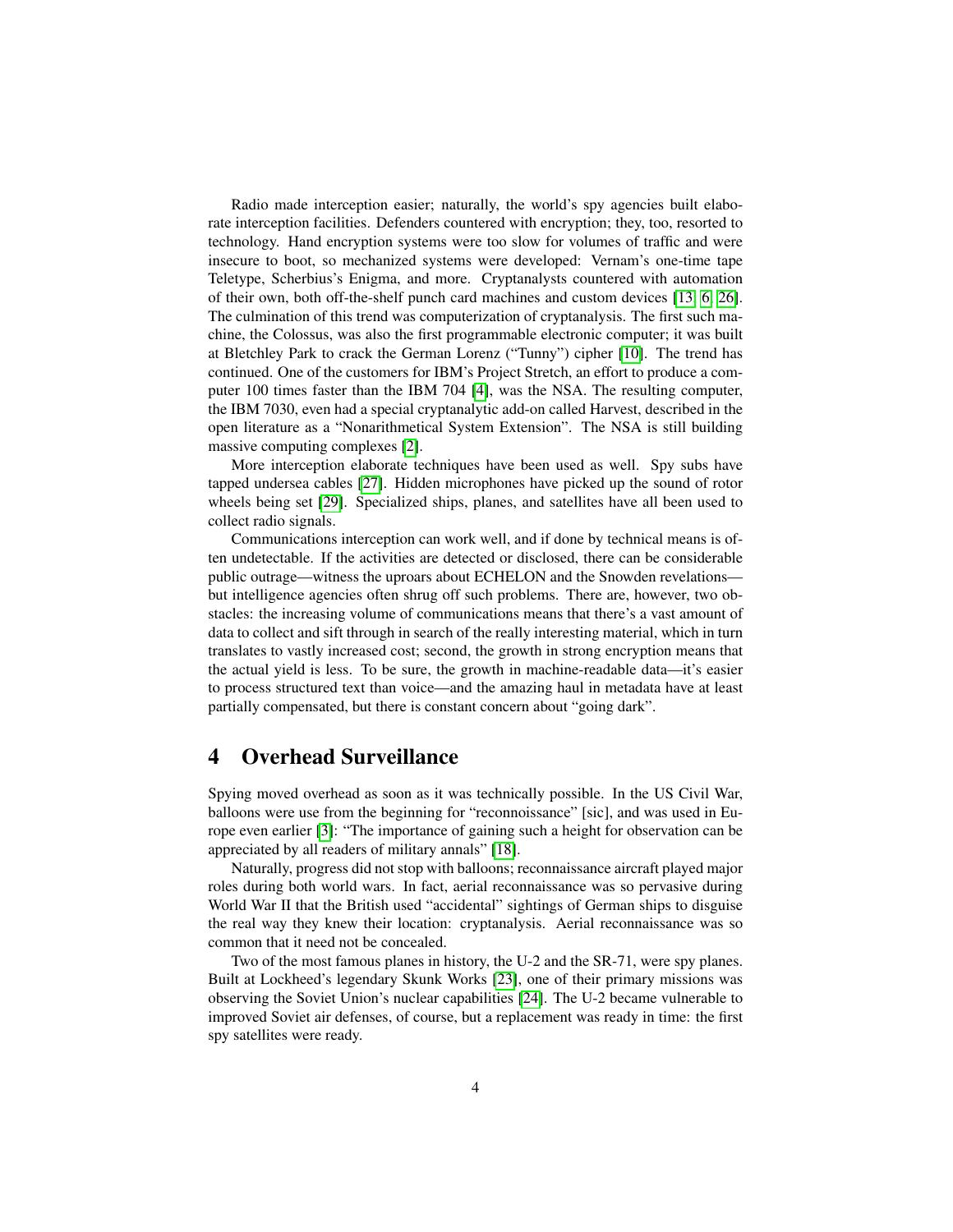Radio made interception easier; naturally, the world's spy agencies built elaborate interception facilities. Defenders countered with encryption; they, too, resorted to technology. Hand encryption systems were too slow for volumes of traffic and were insecure to boot, so mechanized systems were developed: Vernam's one-time tape Teletype, Scherbius's Enigma, and more. Cryptanalysts countered with automation of their own, both off-the-shelf punch card machines and custom devices [\[13,](#page-5-1) [6,](#page-5-5) [26\]](#page-6-6). The culmination of this trend was computerization of cryptanalysis. The first such machine, the Colossus, was also the first programmable electronic computer; it was built at Bletchley Park to crack the German Lorenz ("Tunny") cipher [\[10\]](#page-5-6). The trend has continued. One of the customers for IBM's Project Stretch, an effort to produce a computer 100 times faster than the IBM 704 [\[4\]](#page-5-7), was the NSA. The resulting computer, the IBM 7030, even had a special cryptanalytic add-on called Harvest, described in the open literature as a "Nonarithmetical System Extension". The NSA is still building massive computing complexes [\[2\]](#page-5-8).

More interception elaborate techniques have been used as well. Spy subs have tapped undersea cables [\[27\]](#page-6-0). Hidden microphones have picked up the sound of rotor wheels being set [\[29\]](#page-6-7). Specialized ships, planes, and satellites have all been used to collect radio signals.

Communications interception can work well, and if done by technical means is often undetectable. If the activities are detected or disclosed, there can be considerable public outrage—witness the uproars about ECHELON and the Snowden revelations but intelligence agencies often shrug off such problems. There are, however, two obstacles: the increasing volume of communications means that there's a vast amount of data to collect and sift through in search of the really interesting material, which in turn translates to vastly increased cost; second, the growth in strong encryption means that the actual yield is less. To be sure, the growth in machine-readable data—it's easier to process structured text than voice—and the amazing haul in metadata have at least partially compensated, but there is constant concern about "going dark".

# 4 Overhead Surveillance

Spying moved overhead as soon as it was technically possible. In the US Civil War, balloons were use from the beginning for "reconnoissance" [sic], and was used in Europe even earlier [\[3\]](#page-5-9): "The importance of gaining such a height for observation can be appreciated by all readers of military annals" [\[18\]](#page-6-8).

Naturally, progress did not stop with balloons; reconnaissance aircraft played major roles during both world wars. In fact, aerial reconnaissance was so pervasive during World War II that the British used "accidental" sightings of German ships to disguise the real way they knew their location: cryptanalysis. Aerial reconnaissance was so common that it need not be concealed.

Two of the most famous planes in history, the U-2 and the SR-71, were spy planes. Built at Lockheed's legendary Skunk Works [\[23\]](#page-6-9), one of their primary missions was observing the Soviet Union's nuclear capabilities [\[24\]](#page-6-10). The U-2 became vulnerable to improved Soviet air defenses, of course, but a replacement was ready in time: the first spy satellites were ready.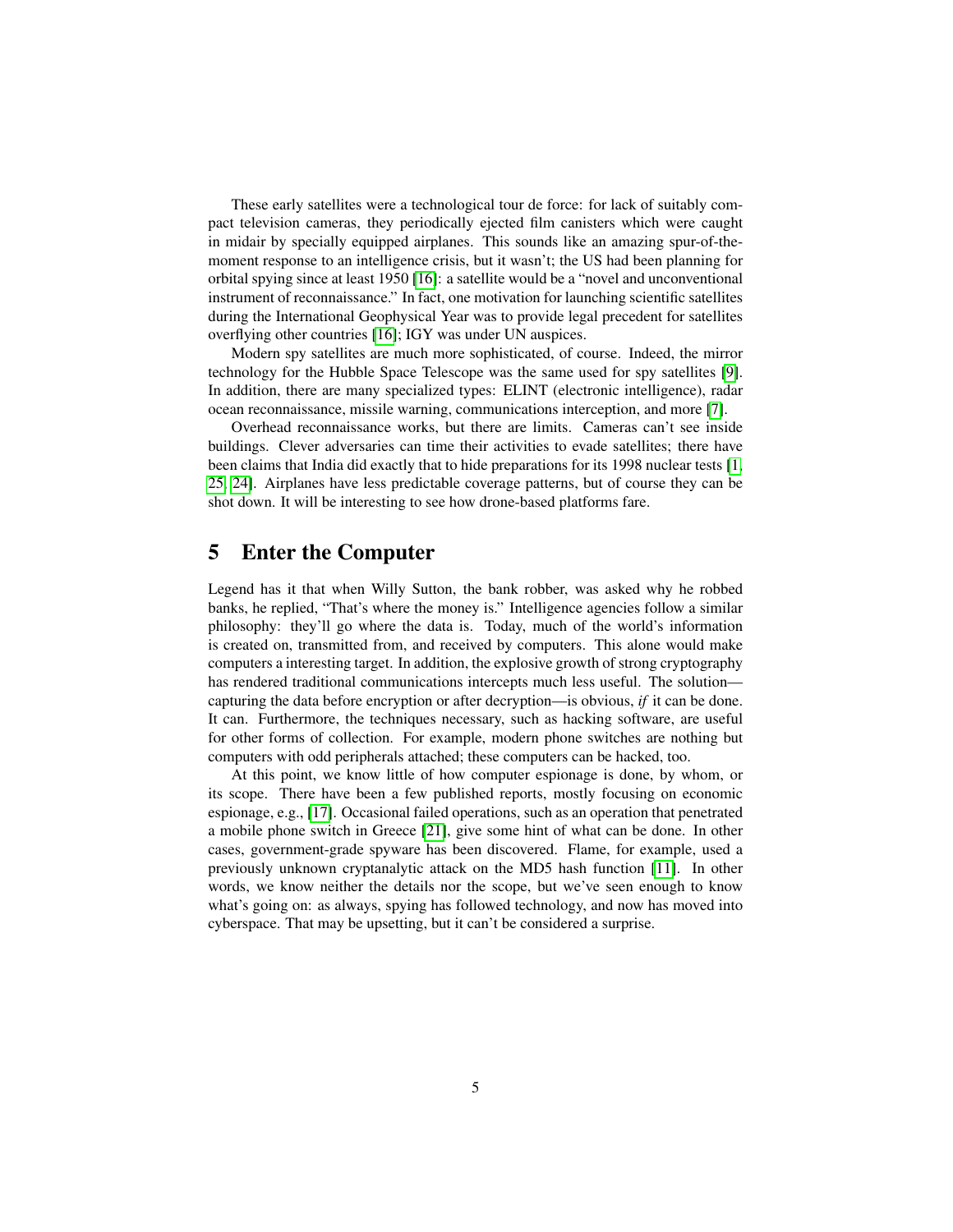These early satellites were a technological tour de force: for lack of suitably compact television cameras, they periodically ejected film canisters which were caught in midair by specially equipped airplanes. This sounds like an amazing spur-of-themoment response to an intelligence crisis, but it wasn't; the US had been planning for orbital spying since at least 1950 [\[16\]](#page-6-11): a satellite would be a "novel and unconventional instrument of reconnaissance." In fact, one motivation for launching scientific satellites during the International Geophysical Year was to provide legal precedent for satellites overflying other countries [\[16\]](#page-6-11); IGY was under UN auspices.

Modern spy satellites are much more sophisticated, of course. Indeed, the mirror technology for the Hubble Space Telescope was the same used for spy satellites [\[9\]](#page-5-10). In addition, there are many specialized types: ELINT (electronic intelligence), radar ocean reconnaissance, missile warning, communications interception, and more [\[7\]](#page-5-11).

Overhead reconnaissance works, but there are limits. Cameras can't see inside buildings. Clever adversaries can time their activities to evade satellites; there have been claims that India did exactly that to hide preparations for its 1998 nuclear tests [\[1,](#page-5-12) [25,](#page-6-12) [24\]](#page-6-10). Airplanes have less predictable coverage patterns, but of course they can be shot down. It will be interesting to see how drone-based platforms fare.

## 5 Enter the Computer

Legend has it that when Willy Sutton, the bank robber, was asked why he robbed banks, he replied, "That's where the money is." Intelligence agencies follow a similar philosophy: they'll go where the data is. Today, much of the world's information is created on, transmitted from, and received by computers. This alone would make computers a interesting target. In addition, the explosive growth of strong cryptography has rendered traditional communications intercepts much less useful. The solution capturing the data before encryption or after decryption—is obvious, *if* it can be done. It can. Furthermore, the techniques necessary, such as hacking software, are useful for other forms of collection. For example, modern phone switches are nothing but computers with odd peripherals attached; these computers can be hacked, too.

At this point, we know little of how computer espionage is done, by whom, or its scope. There have been a few published reports, mostly focusing on economic espionage, e.g., [\[17\]](#page-6-13). Occasional failed operations, such as an operation that penetrated a mobile phone switch in Greece [\[21\]](#page-6-14), give some hint of what can be done. In other cases, government-grade spyware has been discovered. Flame, for example, used a previously unknown cryptanalytic attack on the MD5 hash function [\[11\]](#page-5-13). In other words, we know neither the details nor the scope, but we've seen enough to know what's going on: as always, spying has followed technology, and now has moved into cyberspace. That may be upsetting, but it can't be considered a surprise.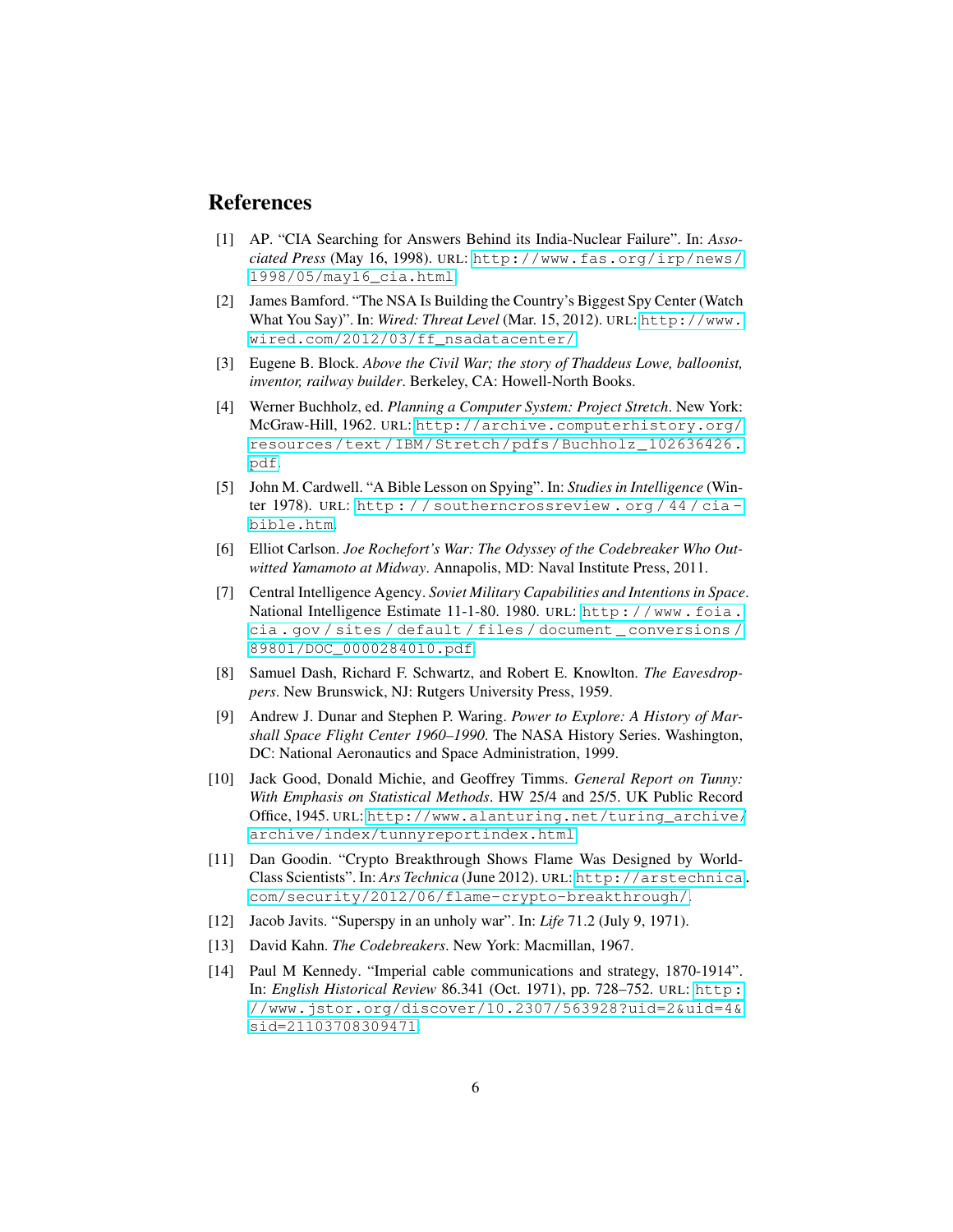# References

- <span id="page-5-12"></span>[1] AP. "CIA Searching for Answers Behind its India-Nuclear Failure". In: *Associated Press* (May 16, 1998). URL: [http://www.fas.org/irp/news/](http://www.fas.org/irp/news/1998/05/may16_cia.html) [1998/05/may16\\_cia.html](http://www.fas.org/irp/news/1998/05/may16_cia.html).
- <span id="page-5-8"></span>[2] James Bamford. "The NSA Is Building the Country's Biggest Spy Center (Watch What You Say)". In: *Wired: Threat Level* (Mar. 15, 2012). URL: [http://www.](http://www.wired.com/2012/03/ff_nsadatacenter/) [wired.com/2012/03/ff\\_nsadatacenter/](http://www.wired.com/2012/03/ff_nsadatacenter/).
- <span id="page-5-9"></span>[3] Eugene B. Block. *Above the Civil War; the story of Thaddeus Lowe, balloonist, inventor, railway builder*. Berkeley, CA: Howell-North Books.
- <span id="page-5-7"></span>[4] Werner Buchholz, ed. *Planning a Computer System: Project Stretch*. New York: McGraw-Hill, 1962. URL: [http://archive.computerhistory.org/](http://archive.computerhistory.org/resources/text/IBM/Stretch/pdfs/Buchholz_102636426.pdf) [resources/text/IBM/Stretch/pdfs/Buchholz\\_102636426.](http://archive.computerhistory.org/resources/text/IBM/Stretch/pdfs/Buchholz_102636426.pdf) [pdf](http://archive.computerhistory.org/resources/text/IBM/Stretch/pdfs/Buchholz_102636426.pdf).
- <span id="page-5-0"></span>[5] John M. Cardwell. "A Bible Lesson on Spying". In: *Studies in Intelligence* (Winter 1978). URL: [http : / / southerncrossreview . org / 44 / cia](http://southerncrossreview.org/44/cia-bible.htm)  [bible.htm](http://southerncrossreview.org/44/cia-bible.htm).
- <span id="page-5-5"></span>[6] Elliot Carlson. *Joe Rochefort's War: The Odyssey of the Codebreaker Who Outwitted Yamamoto at Midway*. Annapolis, MD: Naval Institute Press, 2011.
- <span id="page-5-11"></span>[7] Central Intelligence Agency. *Soviet Military Capabilities and Intentions in Space*. National Intelligence Estimate 11-1-80. 1980. URL: [http://www.foia.](http://www.foia.cia.gov/sites/default/files/document_conversions/89801/DOC_0000284010.pdf) [cia . gov / sites / default / files / document \\_ conversions /](http://www.foia.cia.gov/sites/default/files/document_conversions/89801/DOC_0000284010.pdf) [89801/DOC\\_0000284010.pdf](http://www.foia.cia.gov/sites/default/files/document_conversions/89801/DOC_0000284010.pdf).
- <span id="page-5-3"></span>[8] Samuel Dash, Richard F. Schwartz, and Robert E. Knowlton. *The Eavesdroppers*. New Brunswick, NJ: Rutgers University Press, 1959.
- <span id="page-5-10"></span>[9] Andrew J. Dunar and Stephen P. Waring. *Power to Explore: A History of Marshall Space Flight Center 1960–1990*. The NASA History Series. Washington, DC: National Aeronautics and Space Administration, 1999.
- <span id="page-5-6"></span>[10] Jack Good, Donald Michie, and Geoffrey Timms. *General Report on Tunny: With Emphasis on Statistical Methods*. HW 25/4 and 25/5. UK Public Record Office, 1945. URL: [http://www.alanturing.net/turing\\_archive/](http://www.alanturing.net/turing_archive/archive/index/tunnyreportindex.html) [archive/index/tunnyreportindex.html](http://www.alanturing.net/turing_archive/archive/index/tunnyreportindex.html).
- <span id="page-5-13"></span>[11] Dan Goodin. "Crypto Breakthrough Shows Flame Was Designed by World-Class Scientists". In: *Ars Technica* (June 2012). URL: [http://arstechnica.](http://arstechnica.com/security/2012/06/flame-crypto-breakthrough/) [com/security/2012/06/flame-crypto-breakthrough/](http://arstechnica.com/security/2012/06/flame-crypto-breakthrough/).
- <span id="page-5-2"></span>[12] Jacob Javits. "Superspy in an unholy war". In: *Life* 71.2 (July 9, 1971).
- <span id="page-5-1"></span>[13] David Kahn. *The Codebreakers*. New York: Macmillan, 1967.
- <span id="page-5-4"></span>[14] Paul M Kennedy. "Imperial cable communications and strategy, 1870-1914". In: *English Historical Review* 86.341 (Oct. 1971), pp. 728–752. URL: [http:](http://www.jstor.org/discover/10.2307/563928?uid=2&uid=4&sid=21103708309471) [//www.jstor.org/discover/10.2307/563928?uid=2&uid=4&](http://www.jstor.org/discover/10.2307/563928?uid=2&uid=4&sid=21103708309471) [sid=21103708309471](http://www.jstor.org/discover/10.2307/563928?uid=2&uid=4&sid=21103708309471).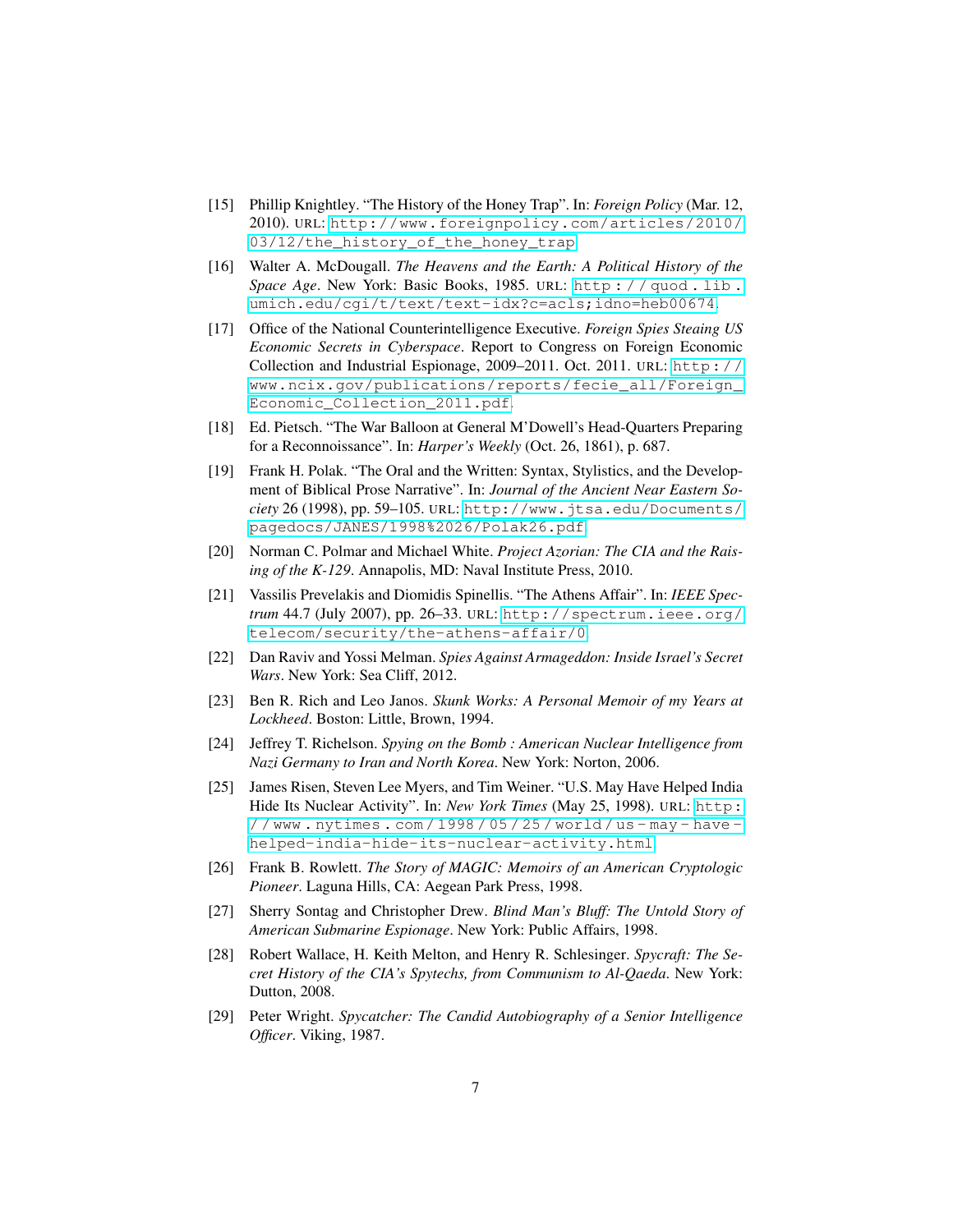- <span id="page-6-4"></span>[15] Phillip Knightley. "The History of the Honey Trap". In: *Foreign Policy* (Mar. 12, 2010). URL: [http://www.foreignpolicy.com/articles/2010/](http://www.foreignpolicy.com/articles/2010/03/12/the_history_of_the_honey_trap) [03/12/the\\_history\\_of\\_the\\_honey\\_trap](http://www.foreignpolicy.com/articles/2010/03/12/the_history_of_the_honey_trap).
- <span id="page-6-11"></span>[16] Walter A. McDougall. *The Heavens and the Earth: A Political History of the Space Age*. New York: Basic Books, 1985. URL: [http : / / quod . lib .](http://quod.lib.umich.edu/cgi/t/text/text-idx?c=acls;idno=heb00674) [umich.edu/cgi/t/text/text-idx?c=acls;idno=heb00674](http://quod.lib.umich.edu/cgi/t/text/text-idx?c=acls;idno=heb00674).
- <span id="page-6-13"></span>[17] Office of the National Counterintelligence Executive. *Foreign Spies Steaing US Economic Secrets in Cyberspace*. Report to Congress on Foreign Economic Collection and Industrial Espionage, 2009–2011. Oct. 2011. URL: [http://](http://www.ncix.gov/publications/reports/fecie_all/Foreign_Economic_Collection_2011.pdf) [www.ncix.gov/publications/reports/fecie\\_all/Foreign\\_](http://www.ncix.gov/publications/reports/fecie_all/Foreign_Economic_Collection_2011.pdf) [Economic\\_Collection\\_2011.pdf](http://www.ncix.gov/publications/reports/fecie_all/Foreign_Economic_Collection_2011.pdf).
- <span id="page-6-8"></span>[18] Ed. Pietsch. "The War Balloon at General M'Dowell's Head-Quarters Preparing for a Reconnoissance". In: *Harper's Weekly* (Oct. 26, 1861), p. 687.
- <span id="page-6-2"></span>[19] Frank H. Polak. "The Oral and the Written: Syntax, Stylistics, and the Development of Biblical Prose Narrative". In: *Journal of the Ancient Near Eastern Society* 26 (1998), pp. 59–105. URL: [http://www.jtsa.edu/Documents/](http://www.jtsa.edu/Documents/pagedocs/JANES/1998%2026/Polak26.pdf) [pagedocs/JANES/1998%2026/Polak26.pdf](http://www.jtsa.edu/Documents/pagedocs/JANES/1998%2026/Polak26.pdf).
- <span id="page-6-1"></span>[20] Norman C. Polmar and Michael White. *Project Azorian: The CIA and the Raising of the K-129*. Annapolis, MD: Naval Institute Press, 2010.
- <span id="page-6-14"></span>[21] Vassilis Prevelakis and Diomidis Spinellis. "The Athens Affair". In: *IEEE Spectrum* 44.7 (July 2007), pp. 26–33. URL: [http://spectrum.ieee.org/](http://spectrum.ieee.org/telecom/security/the-athens-affair/0) [telecom/security/the-athens-affair/0](http://spectrum.ieee.org/telecom/security/the-athens-affair/0).
- <span id="page-6-3"></span>[22] Dan Raviv and Yossi Melman. *Spies Against Armageddon: Inside Israel's Secret Wars*. New York: Sea Cliff, 2012.
- <span id="page-6-9"></span>[23] Ben R. Rich and Leo Janos. *Skunk Works: A Personal Memoir of my Years at Lockheed*. Boston: Little, Brown, 1994.
- <span id="page-6-10"></span>[24] Jeffrey T. Richelson. *Spying on the Bomb : American Nuclear Intelligence from Nazi Germany to Iran and North Korea*. New York: Norton, 2006.
- <span id="page-6-12"></span>[25] James Risen, Steven Lee Myers, and Tim Weiner. "U.S. May Have Helped India Hide Its Nuclear Activity". In: *New York Times* (May 25, 1998). URL: [http:](http://www.nytimes.com/1998/05/25/world/us-may-have-helped-india-hide-its-nuclear-activity.html)  $//www.nytimes.com/1998/05/25/world/us-max-have$ [helped-india-hide-its-nuclear-activity.html](http://www.nytimes.com/1998/05/25/world/us-may-have-helped-india-hide-its-nuclear-activity.html).
- <span id="page-6-6"></span>[26] Frank B. Rowlett. *The Story of MAGIC: Memoirs of an American Cryptologic Pioneer*. Laguna Hills, CA: Aegean Park Press, 1998.
- <span id="page-6-0"></span>[27] Sherry Sontag and Christopher Drew. *Blind Man's Bluff: The Untold Story of American Submarine Espionage*. New York: Public Affairs, 1998.
- <span id="page-6-5"></span>[28] Robert Wallace, H. Keith Melton, and Henry R. Schlesinger. *Spycraft: The Secret History of the CIA's Spytechs, from Communism to Al-Qaeda*. New York: Dutton, 2008.
- <span id="page-6-7"></span>[29] Peter Wright. *Spycatcher: The Candid Autobiography of a Senior Intelligence Officer*. Viking, 1987.